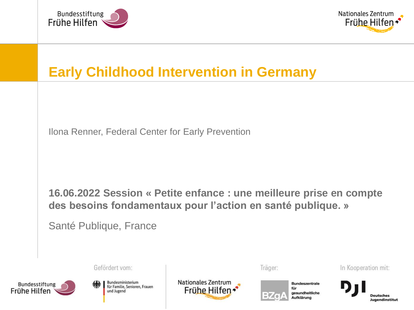



## **Early Childhood Intervention in Germany**

Ilona Renner, Federal Center for Early Prevention

**16.06.2022 Session « Petite enfance : une meilleure prise en compte des besoins fondamentaux pour l'action en santé publique. »**

Santé Publique, France

© 2022 - NZFH, BZgA, DJI



Bundesministerium für Familie, Senioren, Frauen und Jugend

Gefördert vom:

**Nationales Zentrum** Frühe Hilfen Träger:



In Kooperation mit:

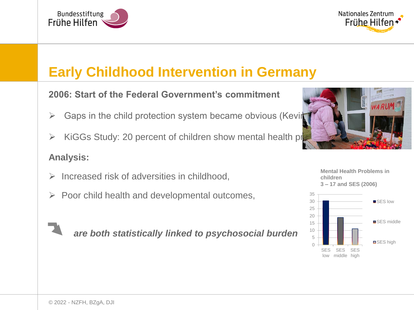



# **Early Childhood Intervention in Germany**

**2006: Start of the Federal Government's commitment**

- $\triangleright$  Gaps in the child protection system became obvious (Keving)
- $\triangleright$  KiGGs Study: 20 percent of children show mental health problems

### **Analysis:**

- $\triangleright$  Increased risk of adversities in childhood.
- $\triangleright$  Poor child health and developmental outcomes,

*are both statistically linked to psychosocial burden* 



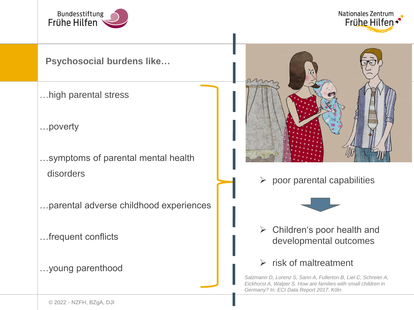

**Nationales Zentrum** Frühe Hilfen

### **Psychosocial burdens like…**

- …high parental stress
- …poverty
- …symptoms of parental mental health disorders
- …parental adverse childhood experiences
- …frequent conflicts
- …young parenthood



 $\triangleright$  poor parental capabilities



 $\triangleright$  Children's poor health and developmental outcomes

### $\triangleright$  risk of maltreatment

*Salzmann D, Lorenz S, Sann A, Fullerton B, Liel C, Schreier A, Eickhorst A, Walper S. How are families with small children in Germany? In: ECI Data Report 2017. Köln*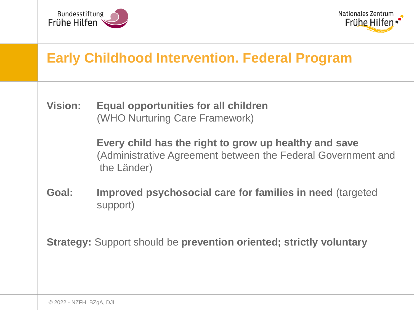



## **Early Childhood Intervention. Federal Program**

**Vision: Equal opportunities for all children** (WHO Nurturing Care Framework)

> **Every child has the right to grow up healthy and save** (Administrative Agreement between the Federal Government and the Länder)

**Goal: Improved psychosocial care for families in need** (targeted support)

**Strategy:** Support should be **prevention oriented; strictly voluntary**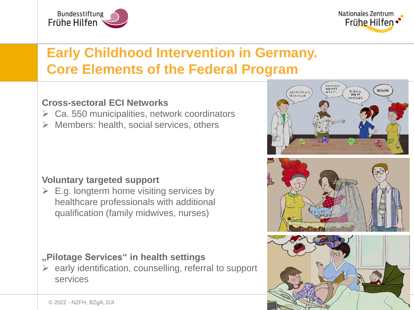



# **Early Childhood Intervention in Germany. Core Elements of the Federal Program**

### **Cross-sectoral ECI Networks**

- $\triangleright$  Ca. 550 municipalities, network coordinators
- $\triangleright$  Members: health, social services, others

#### **Voluntary targeted support**

 $\triangleright$  E.g. longterm home visiting services by healthcare professionals with additional qualification (family midwives, nurses)

### **"Pilotage Services" in health settings**

 $\triangleright$  early identification, counselling, referral to support services

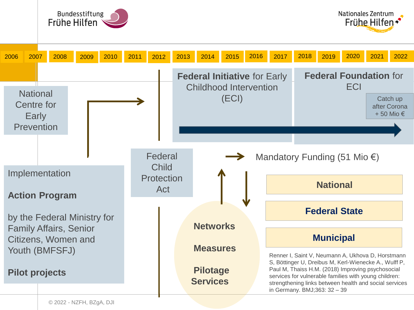